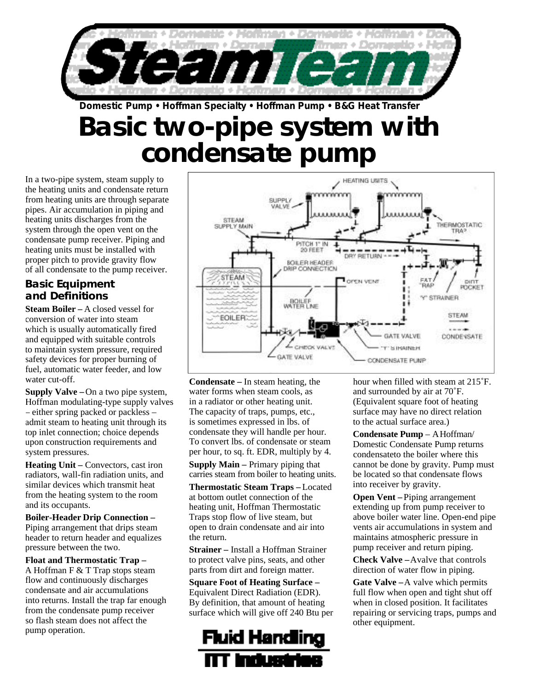

**Basic two-pipe system with condensate pump Domestic Pump • Hoffman Specialty • Hoffman Pump • B&G Heat Transfer**

In a two-pipe system, steam supply to the heating units and condensate return from heating units are through separate pipes. Air accumulation in piping and heating units discharges from the system through the open vent on the condensate pump receiver. Piping and heating units must be installed with proper pitch to provide gravity flow of all condensate to the pump receiver.

#### **Basic Equipment and Definitions**

**Steam Boiler –** A closed vessel for conversion of water into steam which is usually automatically fired and equipped with suitable controls to maintain system pressure, required safety devices for proper burning of fuel, automatic water feeder, and low water cut-off.

**Supply Valve –**On a two pipe system, Hoffman modulating-type supply valves – either spring packed or packless – admit steam to heating unit through its top inlet connection; choice depends upon construction requirements and system pressures.

**Heating Unit –** Convectors, cast iron radiators, wall-fin radiation units, and similar devices which transmit heat from the heating system to the room and its occupants.

**Boiler-Header Drip Connection –** Piping arrangement that drips steam header to return header and equalizes pressure between the two.

**Float and Thermostatic Trap –** A Hoffman F & T Trap stops steam flow and continuously discharges condensate and air accumulations into returns. Install the trap far enough from the condensate pump receiver so flash steam does not affect the pump operation.



**Condensate –** In steam heating, the water forms when steam cools, as in a radiator or other heating unit. The capacity of traps, pumps, etc., is sometimes expressed in lbs. of condensate they will handle per hour. To convert lbs. of condensate or steam per hour, to sq. ft. EDR, multiply by 4.

**Supply Main –** Primary piping that carries steam from boiler to heating units.

**Thermostatic Steam Traps –** Located at bottom outlet connection of the heating unit, Hoffman Thermostatic Traps stop flow of live steam, but open to drain condensate and air into the return.

**Strainer –** Install a Hoffman Strainer to protect valve pins, seats, and other parts from dirt and foreign matter.

#### **Square Foot of Heating Surface –** Equivalent Direct Radiation (EDR). By definition, that amount of heating surface which will give off 240 Btu per



hour when filled with steam at 215˚F. and surrounded by air at 70˚F. (Equivalent square foot of heating surface may have no direct relation to the actual surface area.)

**Condensate Pump – A Hoffman/** Domestic Condensate Pump returns condensateto the boiler where this cannot be done by gravity. Pump must be located so that condensate flows into receiver by gravity.

**Open Vent –** Piping arrangement extending up from pump receiver to above boiler water line. Open-end pipe vents air accumulations in system and maintains atmospheric pressure in pump receiver and return piping.

**Check Valve –**Avalve that controls direction of water flow in piping.

**Gate Valve –**A valve which permits full flow when open and tight shut off when in closed position. It facilitates repairing or servicing traps, pumps and other equipment.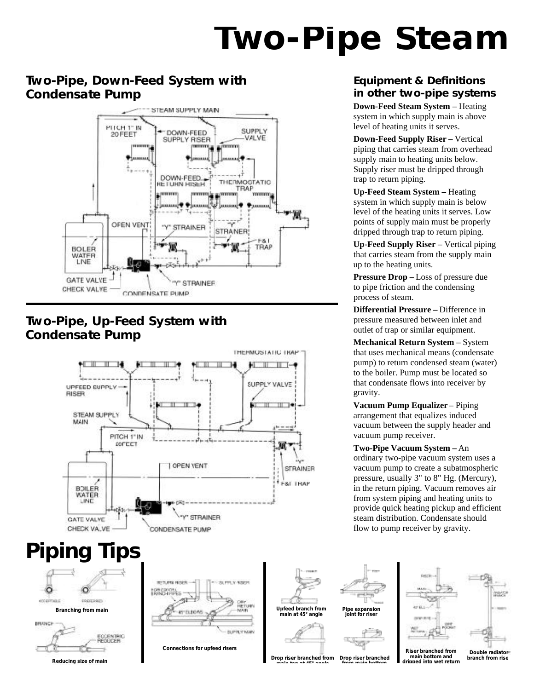# **Two-Pipe Steam**

#### **Two-Pipe, Down-Feed System with Condensate Pump**



#### **Two-Pipe, Up-Feed System with Condensate Pump**



## **Piping Tips**





**Connections for upfeed risers**

**Upfeed branch from main at 45° angle**



### **Pipe expansion joint for riser**

**Drop riser branched from main top at 45° angle Drop riser branched from main bottom**

#### **Equipment & Definitions in other two-pipe systems**

**Down-Feed Steam System –** Heating system in which supply main is above level of heating units it serves.

**Down-Feed Supply Riser –** Vertical piping that carries steam from overhead supply main to heating units below. Supply riser must be dripped through trap to return piping.

**Up-Feed Steam System –** Heating system in which supply main is below level of the heating units it serves. Low points of supply main must be properly dripped through trap to return piping.

**Up-Feed Supply Riser –** Vertical piping that carries steam from the supply main up to the heating units.

**Pressure Drop –** Loss of pressure due to pipe friction and the condensing process of steam.

**Differential Pressure –** Difference in pressure measured between inlet and outlet of trap or similar equipment.

**Mechanical Return System –** System that uses mechanical means (condensate pump) to return condensed steam (water) to the boiler. Pump must be located so that condensate flows into receiver by gravity.

**Vacuum Pump Equalizer –** Piping arrangement that equalizes induced vacuum between the supply header and vacuum pump receiver.

**Two-Pipe Vacuum System –** An ordinary two-pipe vacuum system uses a vacuum pump to create a subatmospheric pressure, usually 3" to 8" Hg. (Mercury), in the return piping. Vacuum removes air from system piping and heating units to provide quick heating pickup and efficient steam distribution. Condensate should flow to pump receiver by gravity.



**Riser branched from main bottom and dripped into wet return**

**Double radiator branch from rise**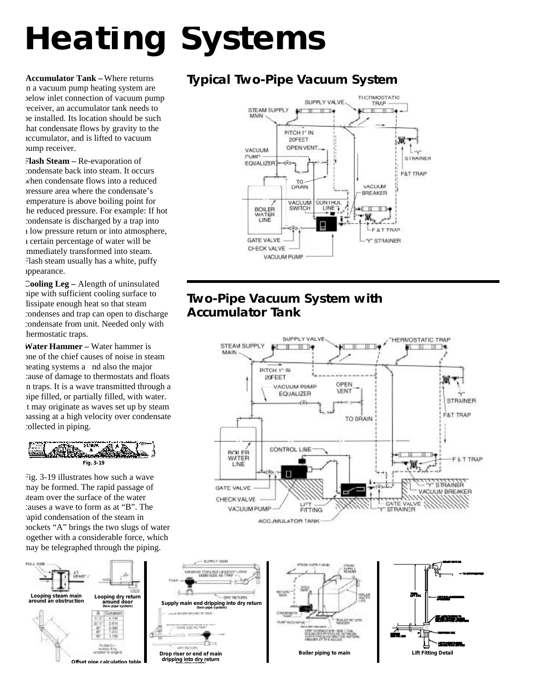# **Heating Systems**

**Accumulator Tank –** Where returns n a vacuum pump heating system are below inlet connection of vacuum pump receiver, an accumulator tank needs to be installed. Its location should be such hat condensate flows by gravity to the accumulator, and is lifted to vacuum pump receiver.

**Flash Steam –** Re-evaporation of condensate back into steam. It occurs when condensate flows into a reduced pressure area where the condensate's emperature is above boiling point for he reduced pressure. For example: If hot condensate is discharged by a trap into a low pressure return or into atmosphere, a certain percentage of water will be mmediately transformed into steam. Flash steam usually has a white, puffy appearance.

**Cooling Leg –** Alength of uninsulated pipe with sufficient cooling surface to lissipate enough heat so that steam condenses and trap can open to discharge condensate from unit. Needed only with hermostatic traps.

**Water Hammer –** Water hammer is one of the chief causes of noise in steam heating systems a nd also the major cause of damage to thermostats and floats in traps. It is a wave transmitted through a pipe filled, or partially filled, with water. It may originate as waves set up by steam passing at a high velocity over condensate collected in piping.



Fig. 3-19 illustrates how such a wave may be formed. The rapid passage of steam over the surface of the water causes a wave to form as at "B". The rapid condensation of the steam in pockets "A" brings the two slugs of water ogether with a considerable force, which may be telegraphed through the piping.



### **Typical Two-Pipe Vacuum System**



#### **Two-Pipe Vacuum System with Accumulator Tank**





**ROOM AND LE TRUS** 

**HEITLING**